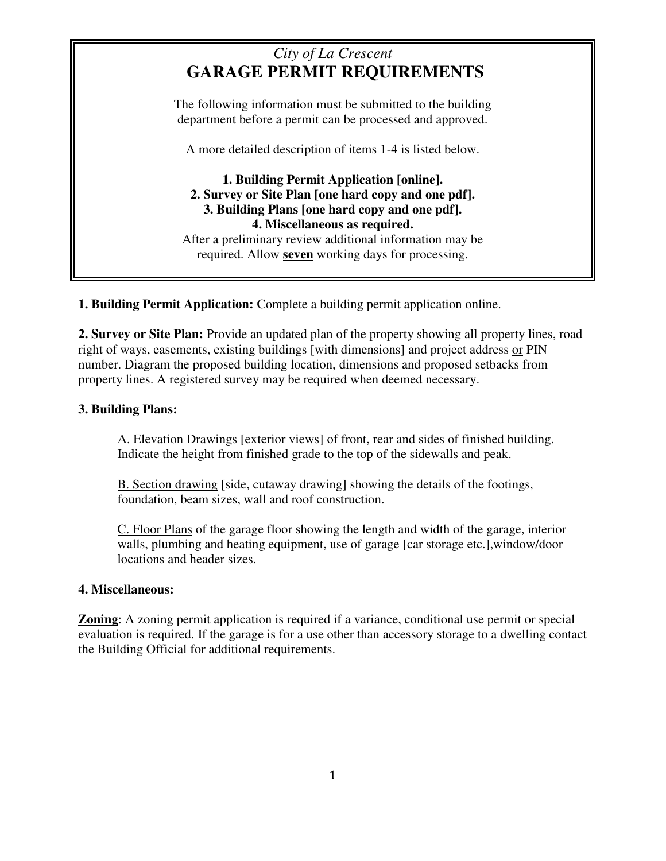# *City of La Crescent* **GARAGE PERMIT REQUIREMENTS**

The following information must be submitted to the building department before a permit can be processed and approved.

A more detailed description of items 1-4 is listed below.

**1. Building Permit Application [online]. 2. Survey or Site Plan [one hard copy and one pdf]. 3. Building Plans [one hard copy and one pdf]. 4. Miscellaneous as required.**  After a preliminary review additional information may be required. Allow **seven** working days for processing.

**1. Building Permit Application:** Complete a building permit application online.

**2. Survey or Site Plan:** Provide an updated plan of the property showing all property lines, road right of ways, easements, existing buildings [with dimensions] and project address or PIN number. Diagram the proposed building location, dimensions and proposed setbacks from property lines. A registered survey may be required when deemed necessary.

## **3. Building Plans:**

A. Elevation Drawings [exterior views] of front, rear and sides of finished building. Indicate the height from finished grade to the top of the sidewalls and peak.

B. Section drawing [side, cutaway drawing] showing the details of the footings, foundation, beam sizes, wall and roof construction.

C. Floor Plans of the garage floor showing the length and width of the garage, interior walls, plumbing and heating equipment, use of garage [car storage etc.],window/door locations and header sizes.

## **4. Miscellaneous:**

**Zoning**: A zoning permit application is required if a variance, conditional use permit or special evaluation is required. If the garage is for a use other than accessory storage to a dwelling contact the Building Official for additional requirements.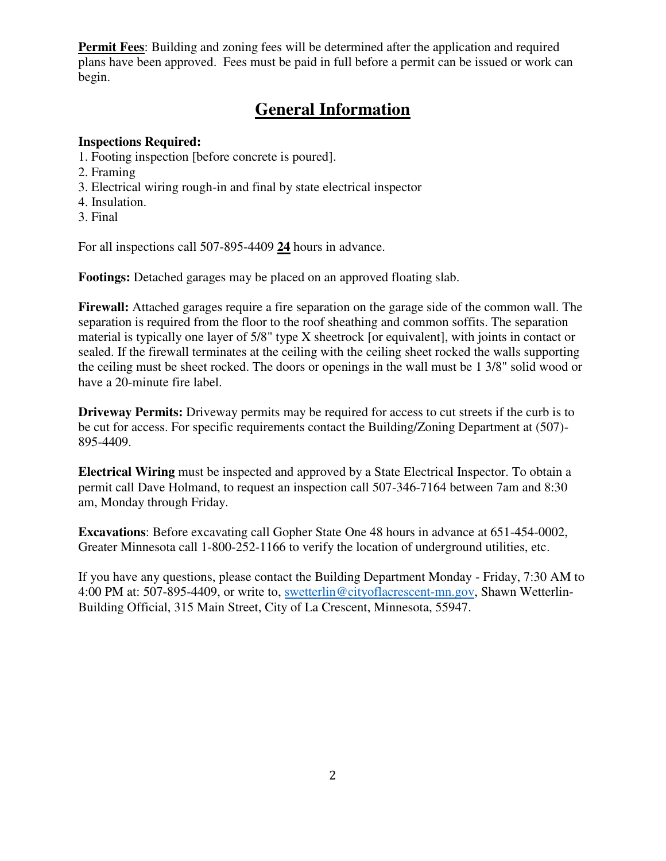**Permit Fees**: Building and zoning fees will be determined after the application and required plans have been approved. Fees must be paid in full before a permit can be issued or work can begin.

# **General Information**

### **Inspections Required:**

- 1. Footing inspection [before concrete is poured].
- 2. Framing
- 3. Electrical wiring rough-in and final by state electrical inspector
- 4. Insulation.
- 3. Final

For all inspections call 507-895-4409 **24** hours in advance.

**Footings:** Detached garages may be placed on an approved floating slab.

**Firewall:** Attached garages require a fire separation on the garage side of the common wall. The separation is required from the floor to the roof sheathing and common soffits. The separation material is typically one layer of 5/8" type X sheetrock [or equivalent], with joints in contact or sealed. If the firewall terminates at the ceiling with the ceiling sheet rocked the walls supporting the ceiling must be sheet rocked. The doors or openings in the wall must be 1 3/8" solid wood or have a 20-minute fire label.

**Driveway Permits:** Driveway permits may be required for access to cut streets if the curb is to be cut for access. For specific requirements contact the Building/Zoning Department at (507)- 895-4409.

**Electrical Wiring** must be inspected and approved by a State Electrical Inspector. To obtain a permit call Dave Holmand, to request an inspection call 507-346-7164 between 7am and 8:30 am, Monday through Friday.

**Excavations**: Before excavating call Gopher State One 48 hours in advance at 651-454-0002, Greater Minnesota call 1-800-252-1166 to verify the location of underground utilities, etc.

If you have any questions, please contact the Building Department Monday - Friday, 7:30 AM to 4:00 PM at: 507-895-4409, or write to, [swetterlin@cityoflacrescent-mn.gov,](mailto:swetterlin@cityoflacrescent-mn.gov) Shawn Wetterlin-Building Official, 315 Main Street, City of La Crescent, Minnesota, 55947.